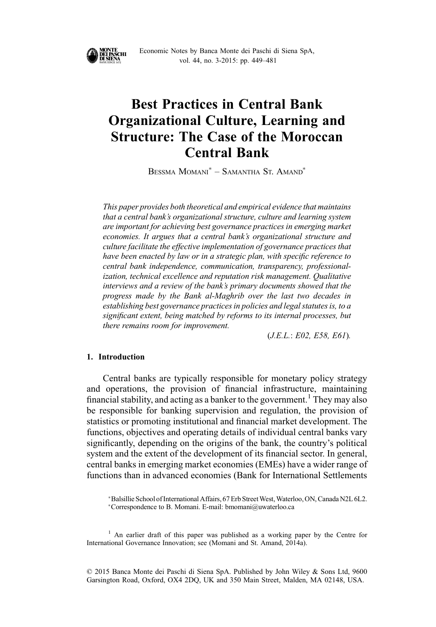

Economic Notes by Banca Monte dei Paschi di Siena SpA, vol. 44, no. 3-2015: pp. 449–481

# Best Practices in Central Bank Organizational Culture, Learning and Structure: The Case of the Moroccan Central Bank

BESSMA MOMANI<sup>\*</sup> - SAMANTHA ST. AMAND<sup>\*</sup>

This paper provides both theoretical and empirical evidence that maintains that a central bank's organizational structure, culture and learning system are important for achieving best governance practices in emerging market economies. It argues that a central bank's organizational structure and culture facilitate the effective implementation of governance practices that have been enacted by law or in a strategic plan, with specific reference to central bank independence, communication, transparency, professionalization, technical excellence and reputation risk management. Qualitative interviews and a review of the bank's primary documents showed that the progress made by the Bank al-Maghrib over the last two decades in establishing best governance practices in policies and legal statutes is, to a significant extent, being matched by reforms to its internal processes, but there remains room for improvement.

(J.E.L.: E02, E58, E61).

## 1. Introduction

Central banks are typically responsible for monetary policy strategy and operations, the provision of financial infrastructure, maintaining financial stability, and acting as a banker to the government.<sup>1</sup> They may also be responsible for banking supervision and regulation, the provision of statistics or promoting institutional and financial market development. The functions, objectives and operating details of individual central banks vary significantly, depending on the origins of the bank, the country's political system and the extent of the development of its financial sector. In general, central banks in emerging market economies (EMEs) have a wider range of functions than in advanced economies (Bank for International Settlements

!Balsillie School of International Affairs, 67 Erb StreetWest,Waterloo, ON, Canada N2L 6L2. !Correspondence to B. Momani. E-mail: bmomani@uwaterloo.ca

© 2015 Banca Monte dei Paschi di Siena SpA. Published by John Wiley & Sons Ltd, 9600 Garsington Road, Oxford, OX4 2DQ, UK and 350 Main Street, Malden, MA 02148, USA.

 $<sup>1</sup>$  An earlier draft of this paper was published as a working paper by the Centre for</sup> International Governance Innovation; see (Momani and St. Amand, 2014a).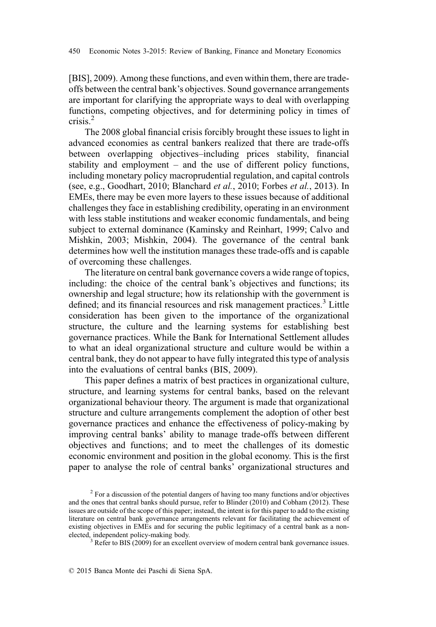[BIS], 2009). Among these functions, and even within them, there are tradeoffs between the central bank's objectives. Sound governance arrangements are important for clarifying the appropriate ways to deal with overlapping functions, competing objectives, and for determining policy in times of crisis.<sup>2</sup>

The 2008 global financial crisis forcibly brought these issues to light in advanced economies as central bankers realized that there are trade-offs between overlapping objectives–including prices stability, financial stability and employment – and the use of different policy functions, including monetary policy macroprudential regulation, and capital controls (see, e.g., Goodhart, 2010; Blanchard et al., 2010; Forbes et al., 2013). In EMEs, there may be even more layers to these issues because of additional challenges they face in establishing credibility, operating in an environment with less stable institutions and weaker economic fundamentals, and being subject to external dominance (Kaminsky and Reinhart, 1999; Calvo and Mishkin, 2003; Mishkin, 2004). The governance of the central bank determines how well the institution manages these trade-offs and is capable of overcoming these challenges.

The literature on central bank governance covers a wide range of topics, including: the choice of the central bank's objectives and functions; its ownership and legal structure; how its relationship with the government is defined; and its financial resources and risk management practices.<sup>3</sup> Little consideration has been given to the importance of the organizational structure, the culture and the learning systems for establishing best governance practices. While the Bank for International Settlement alludes to what an ideal organizational structure and culture would be within a central bank, they do not appear to have fully integrated this type of analysis into the evaluations of central banks (BIS, 2009).

This paper defines a matrix of best practices in organizational culture, structure, and learning systems for central banks, based on the relevant organizational behaviour theory. The argument is made that organizational structure and culture arrangements complement the adoption of other best governance practices and enhance the effectiveness of policy-making by improving central banks' ability to manage trade-offs between different objectives and functions; and to meet the challenges of its domestic economic environment and position in the global economy. This is the first paper to analyse the role of central banks' organizational structures and

Refer to BIS (2009) for an excellent overview of modern central bank governance issues.

 $2$  For a discussion of the potential dangers of having too many functions and/or objectives and the ones that central banks should pursue, refer to Blinder (2010) and Cobham (2012). These issues are outside of the scope of this paper; instead, the intent is for this paper to add to the existing literature on central bank governance arrangements relevant for facilitating the achievement of existing objectives in EMEs and for securing the public legitimacy of a central bank as a non-elected, independent policy-making body.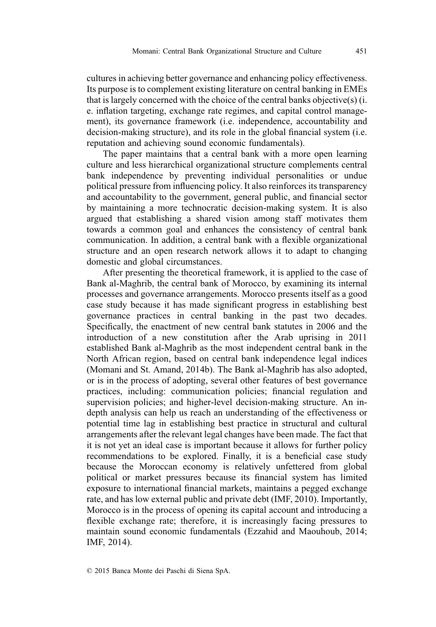cultures in achieving better governance and enhancing policy effectiveness. Its purpose is to complement existing literature on central banking in EMEs that is largely concerned with the choice of the central banks objective(s) (i. e. inflation targeting, exchange rate regimes, and capital control management), its governance framework (i.e. independence, accountability and decision-making structure), and its role in the global financial system (i.e. reputation and achieving sound economic fundamentals).

The paper maintains that a central bank with a more open learning culture and less hierarchical organizational structure complements central bank independence by preventing individual personalities or undue political pressure from influencing policy. It also reinforces its transparency and accountability to the government, general public, and financial sector by maintaining a more technocratic decision-making system. It is also argued that establishing a shared vision among staff motivates them towards a common goal and enhances the consistency of central bank communication. In addition, a central bank with a flexible organizational structure and an open research network allows it to adapt to changing domestic and global circumstances.

After presenting the theoretical framework, it is applied to the case of Bank al-Maghrib, the central bank of Morocco, by examining its internal processes and governance arrangements. Morocco presents itself as a good case study because it has made significant progress in establishing best governance practices in central banking in the past two decades. Specifically, the enactment of new central bank statutes in 2006 and the introduction of a new constitution after the Arab uprising in 2011 established Bank al-Maghrib as the most independent central bank in the North African region, based on central bank independence legal indices (Momani and St. Amand, 2014b). The Bank al-Maghrib has also adopted, or is in the process of adopting, several other features of best governance practices, including: communication policies; financial regulation and supervision policies; and higher-level decision-making structure. An indepth analysis can help us reach an understanding of the effectiveness or potential time lag in establishing best practice in structural and cultural arrangements after the relevant legal changes have been made. The fact that it is not yet an ideal case is important because it allows for further policy recommendations to be explored. Finally, it is a beneficial case study because the Moroccan economy is relatively unfettered from global political or market pressures because its financial system has limited exposure to international financial markets, maintains a pegged exchange rate, and has low external public and private debt (IMF, 2010). Importantly, Morocco is in the process of opening its capital account and introducing a flexible exchange rate; therefore, it is increasingly facing pressures to maintain sound economic fundamentals (Ezzahid and Maouhoub, 2014; IMF, 2014).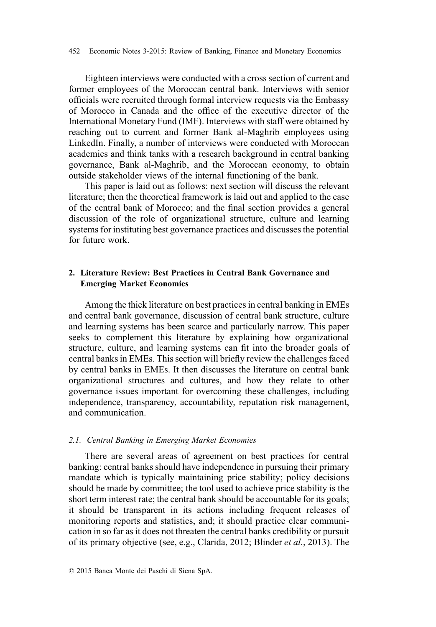Eighteen interviews were conducted with a cross section of current and former employees of the Moroccan central bank. Interviews with senior officials were recruited through formal interview requests via the Embassy of Morocco in Canada and the office of the executive director of the International Monetary Fund (IMF). Interviews with staff were obtained by reaching out to current and former Bank al-Maghrib employees using LinkedIn. Finally, a number of interviews were conducted with Moroccan academics and think tanks with a research background in central banking governance, Bank al-Maghrib, and the Moroccan economy, to obtain outside stakeholder views of the internal functioning of the bank.

This paper is laid out as follows: next section will discuss the relevant literature; then the theoretical framework is laid out and applied to the case of the central bank of Morocco; and the final section provides a general discussion of the role of organizational structure, culture and learning systems for instituting best governance practices and discusses the potential for future work.

# 2. Literature Review: Best Practices in Central Bank Governance and Emerging Market Economies

Among the thick literature on best practices in central banking in EMEs and central bank governance, discussion of central bank structure, culture and learning systems has been scarce and particularly narrow. This paper seeks to complement this literature by explaining how organizational structure, culture, and learning systems can fit into the broader goals of central banks in EMEs. This section will briefly review the challenges faced by central banks in EMEs. It then discusses the literature on central bank organizational structures and cultures, and how they relate to other governance issues important for overcoming these challenges, including independence, transparency, accountability, reputation risk management, and communication.

## 2.1. Central Banking in Emerging Market Economies

There are several areas of agreement on best practices for central banking: central banks should have independence in pursuing their primary mandate which is typically maintaining price stability; policy decisions should be made by committee; the tool used to achieve price stability is the short term interest rate; the central bank should be accountable for its goals; it should be transparent in its actions including frequent releases of monitoring reports and statistics, and; it should practice clear communication in so far as it does not threaten the central banks credibility or pursuit of its primary objective (see, e.g., Clarida, 2012; Blinder et al., 2013). The

<sup>© 2015</sup> Banca Monte dei Paschi di Siena SpA.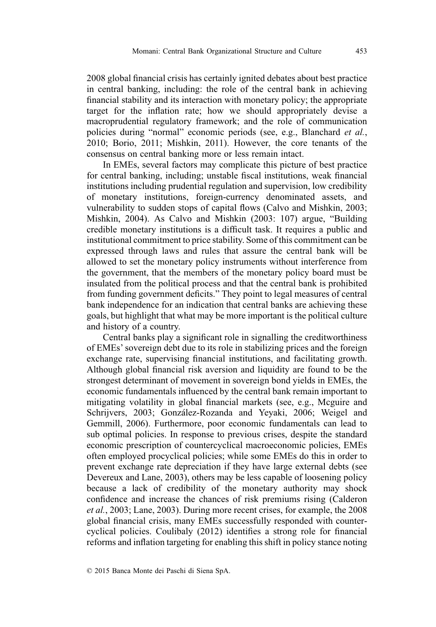2008 global financial crisis has certainly ignited debates about best practice in central banking, including: the role of the central bank in achieving financial stability and its interaction with monetary policy; the appropriate target for the inflation rate; how we should appropriately devise a macroprudential regulatory framework; and the role of communication policies during "normal" economic periods (see, e.g., Blanchard et al., 2010; Borio, 2011; Mishkin, 2011). However, the core tenants of the consensus on central banking more or less remain intact.

In EMEs, several factors may complicate this picture of best practice for central banking, including; unstable fiscal institutions, weak financial institutions including prudential regulation and supervision, low credibility of monetary institutions, foreign-currency denominated assets, and vulnerability to sudden stops of capital flows (Calvo and Mishkin, 2003; Mishkin, 2004). As Calvo and Mishkin (2003: 107) argue, "Building credible monetary institutions is a difficult task. It requires a public and institutional commitment to price stability. Some of this commitment can be expressed through laws and rules that assure the central bank will be allowed to set the monetary policy instruments without interference from the government, that the members of the monetary policy board must be insulated from the political process and that the central bank is prohibited from funding government deficits." They point to legal measures of central bank independence for an indication that central banks are achieving these goals, but highlight that what may be more important is the political culture and history of a country.

Central banks play a significant role in signalling the creditworthiness of EMEs'sovereign debt due to its role in stabilizing prices and the foreign exchange rate, supervising financial institutions, and facilitating growth. Although global financial risk aversion and liquidity are found to be the strongest determinant of movement in sovereign bond yields in EMEs, the economic fundamentals influenced by the central bank remain important to mitigating volatility in global financial markets (see, e.g., Mcguire and Schrijvers, 2003; González-Rozanda and Yeyaki, 2006; Weigel and Gemmill, 2006). Furthermore, poor economic fundamentals can lead to sub optimal policies. In response to previous crises, despite the standard economic prescription of countercyclical macroeconomic policies, EMEs often employed procyclical policies; while some EMEs do this in order to prevent exchange rate depreciation if they have large external debts (see Devereux and Lane, 2003), others may be less capable of loosening policy because a lack of credibility of the monetary authority may shock confidence and increase the chances of risk premiums rising (Calderon et al., 2003; Lane, 2003). During more recent crises, for example, the 2008 global financial crisis, many EMEs successfully responded with countercyclical policies. Coulibaly (2012) identifies a strong role for financial reforms and inflation targeting for enabling this shift in policy stance noting

<sup>© 2015</sup> Banca Monte dei Paschi di Siena SpA.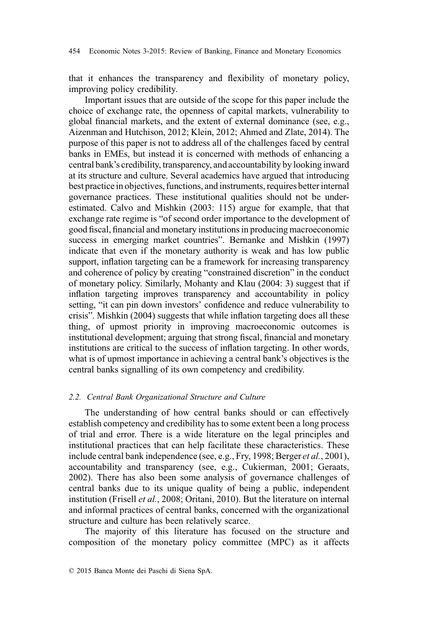that it enhances the transparency and flexibility of monetary policy, improving policy credibility.

Important issues that are outside of the scope for this paper include the choice of exchange rate, the openness of capital markets, vulnerability to global financial markets, and the extent of external dominance (see, e.g., Aizenman and Hutchison, 2012; Klein, 2012; Ahmed and Zlate, 2014). The purpose of this paper is not to address all of the challenges faced by central banks in EMEs, but instead it is concerned with methods of enhancing a central bank's credibility, transparency, and accountability by looking inward at its structure and culture. Several academics have argued that introducing best practice in objectives, functions, and instruments, requires better internal governance practices. These institutional qualities should not be underestimated. Calvo and Mishkin (2003: 115) argue for example, that that exchange rate regime is "of second order importance to the development of good fiscal, financial and monetary institutions in producing macroeconomic success in emerging market countries". Bernanke and Mishkin (1997) indicate that even if the monetary authority is weak and has low public support, inflation targeting can be a framework for increasing transparency and coherence of policy by creating "constrained discretion" in the conduct of monetary policy. Similarly, Mohanty and Klau (2004: 3) suggest that if inflation targeting improves transparency and accountability in policy setting, "it can pin down investors' confidence and reduce vulnerability to crisis". Mishkin (2004) suggests that while inflation targeting does all these thing, of upmost priority in improving macroeconomic outcomes is institutional development; arguing that strong fiscal, financial and monetary institutions are critical to the success of inflation targeting. In other words, what is of upmost importance in achieving a central bank's objectives is the central banks signalling of its own competency and credibility.

#### 2.2. Central Bank Organizational Structure and Culture

The understanding of how central banks should or can effectively establish competency and credibility has to some extent been a long process of trial and error. There is a wide literature on the legal principles and institutional practices that can help facilitate these characteristics. These include central bank independence (see, e.g., Fry, 1998; Berger et al., 2001), accountability and transparency (see, e.g., Cukierman, 2001; Geraats, 2002). There has also been some analysis of governance challenges of central banks due to its unique quality of being a public, independent institution (Frisell et al., 2008; Oritani, 2010). But the literature on internal and informal practices of central banks, concerned with the organizational structure and culture has been relatively scarce.

The majority of this literature has focused on the structure and composition of the monetary policy committee (MPC) as it affects

<sup>© 2015</sup> Banca Monte dei Paschi di Siena SpA.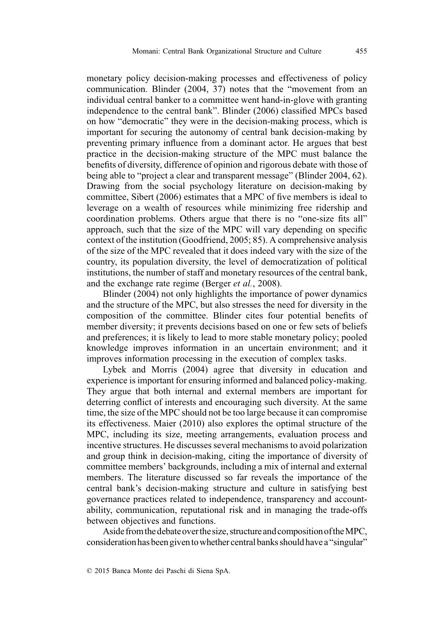monetary policy decision-making processes and effectiveness of policy communication. Blinder (2004, 37) notes that the "movement from an individual central banker to a committee went hand-in-glove with granting independence to the central bank". Blinder (2006) classified MPCs based on how "democratic" they were in the decision-making process, which is important for securing the autonomy of central bank decision-making by preventing primary influence from a dominant actor. He argues that best practice in the decision-making structure of the MPC must balance the benefits of diversity, difference of opinion and rigorous debate with those of being able to "project a clear and transparent message" (Blinder 2004, 62). Drawing from the social psychology literature on decision-making by committee, Sibert (2006) estimates that a MPC of five members is ideal to leverage on a wealth of resources while minimizing free ridership and coordination problems. Others argue that there is no "one-size fits all" approach, such that the size of the MPC will vary depending on specific context of the institution (Goodfriend, 2005; 85). A comprehensive analysis of the size of the MPC revealed that it does indeed vary with the size of the country, its population diversity, the level of democratization of political institutions, the number of staff and monetary resources of the central bank, and the exchange rate regime (Berger et al., 2008).

Blinder (2004) not only highlights the importance of power dynamics and the structure of the MPC, but also stresses the need for diversity in the composition of the committee. Blinder cites four potential benefits of member diversity; it prevents decisions based on one or few sets of beliefs and preferences; it is likely to lead to more stable monetary policy; pooled knowledge improves information in an uncertain environment; and it improves information processing in the execution of complex tasks.

Lybek and Morris (2004) agree that diversity in education and experience is important for ensuring informed and balanced policy-making. They argue that both internal and external members are important for deterring conflict of interests and encouraging such diversity. At the same time, the size of the MPC should not be too large because it can compromise its effectiveness. Maier (2010) also explores the optimal structure of the MPC, including its size, meeting arrangements, evaluation process and incentive structures. He discusses several mechanisms to avoid polarization and group think in decision-making, citing the importance of diversity of committee members' backgrounds, including a mix of internal and external members. The literature discussed so far reveals the importance of the central bank's decision-making structure and culture in satisfying best governance practices related to independence, transparency and accountability, communication, reputational risk and in managing the trade-offs between objectives and functions.

Aside from the debate over the size, structure and composition of the MPC, consideration has been given to whether central banks should have a "singular"

<sup>© 2015</sup> Banca Monte dei Paschi di Siena SpA.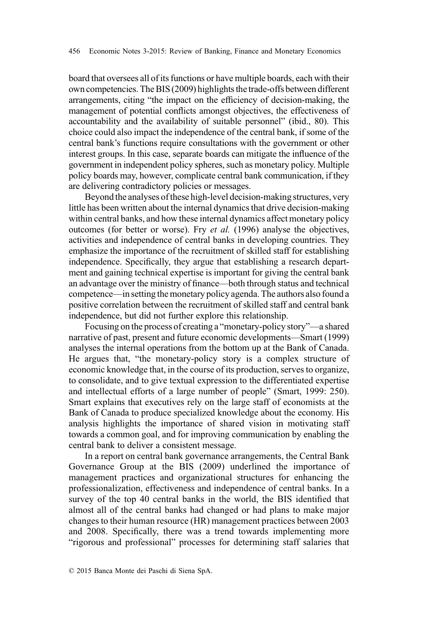board that oversees all of its functions or have multiple boards, each with their own competencies. The BIS (2009) highlights the trade-offs between different arrangements, citing "the impact on the efficiency of decision-making, the management of potential conflicts amongst objectives, the effectiveness of accountability and the availability of suitable personnel" (ibid., 80). This choice could also impact the independence of the central bank, if some of the central bank's functions require consultations with the government or other interest groups. In this case, separate boards can mitigate the influence of the government in independent policy spheres, such as monetary policy. Multiple policy boards may, however, complicate central bank communication, if they are delivering contradictory policies or messages.

Beyond the analyses of these high-level decision-making structures, very little has been written about the internal dynamics that drive decision-making within central banks, and how these internal dynamics affect monetary policy outcomes (for better or worse). Fry et al. (1996) analyse the objectives, activities and independence of central banks in developing countries. They emphasize the importance of the recruitment of skilled staff for establishing independence. Specifically, they argue that establishing a research department and gaining technical expertise is important for giving the central bank an advantage over the ministry of finance—both through status and technical competence—in setting the monetary policy agenda. The authors also found a positive correlation between the recruitment of skilled staff and central bank independence, but did not further explore this relationship.

Focusing on the process of creating a "monetary-policy story"—a shared narrative of past, present and future economic developments—Smart (1999) analyses the internal operations from the bottom up at the Bank of Canada. He argues that, "the monetary-policy story is a complex structure of economic knowledge that, in the course of its production, serves to organize, to consolidate, and to give textual expression to the differentiated expertise and intellectual efforts of a large number of people" (Smart, 1999: 250). Smart explains that executives rely on the large staff of economists at the Bank of Canada to produce specialized knowledge about the economy. His analysis highlights the importance of shared vision in motivating staff towards a common goal, and for improving communication by enabling the central bank to deliver a consistent message.

In a report on central bank governance arrangements, the Central Bank Governance Group at the BIS (2009) underlined the importance of management practices and organizational structures for enhancing the professionalization, effectiveness and independence of central banks. In a survey of the top 40 central banks in the world, the BIS identified that almost all of the central banks had changed or had plans to make major changes to their human resource (HR) management practices between 2003 and 2008. Specifically, there was a trend towards implementing more "rigorous and professional" processes for determining staff salaries that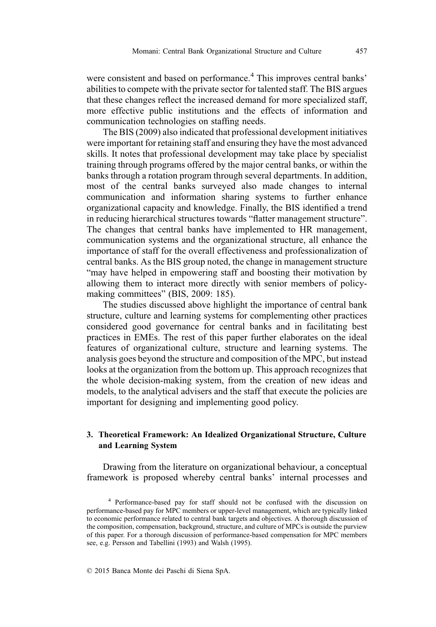were consistent and based on performance.<sup>4</sup> This improves central banks' abilities to compete with the private sector for talented staff. The BIS argues that these changes reflect the increased demand for more specialized staff, more effective public institutions and the effects of information and communication technologies on staffing needs.

The BIS (2009) also indicated that professional development initiatives were important for retaining staff and ensuring they have the most advanced skills. It notes that professional development may take place by specialist training through programs offered by the major central banks, or within the banks through a rotation program through several departments. In addition, most of the central banks surveyed also made changes to internal communication and information sharing systems to further enhance organizational capacity and knowledge. Finally, the BIS identified a trend in reducing hierarchical structures towards "flatter management structure". The changes that central banks have implemented to HR management, communication systems and the organizational structure, all enhance the importance of staff for the overall effectiveness and professionalization of central banks. As the BIS group noted, the change in management structure "may have helped in empowering staff and boosting their motivation by allowing them to interact more directly with senior members of policymaking committees" (BIS, 2009: 185).

The studies discussed above highlight the importance of central bank structure, culture and learning systems for complementing other practices considered good governance for central banks and in facilitating best practices in EMEs. The rest of this paper further elaborates on the ideal features of organizational culture, structure and learning systems. The analysis goes beyond the structure and composition of the MPC, but instead looks at the organization from the bottom up. This approach recognizes that the whole decision-making system, from the creation of new ideas and models, to the analytical advisers and the staff that execute the policies are important for designing and implementing good policy.

# 3. Theoretical Framework: An Idealized Organizational Structure, Culture and Learning System

Drawing from the literature on organizational behaviour, a conceptual framework is proposed whereby central banks' internal processes and

<sup>4</sup> Performance-based pay for staff should not be confused with the discussion on performance-based pay for MPC members or upper-level management, which are typically linked to economic performance related to central bank targets and objectives. A thorough discussion of the composition, compensation, background, structure, and culture of MPCs is outside the purview of this paper. For a thorough discussion of performance-based compensation for MPC members see, e.g. Persson and Tabellini (1993) and Walsh (1995).

<sup>© 2015</sup> Banca Monte dei Paschi di Siena SpA.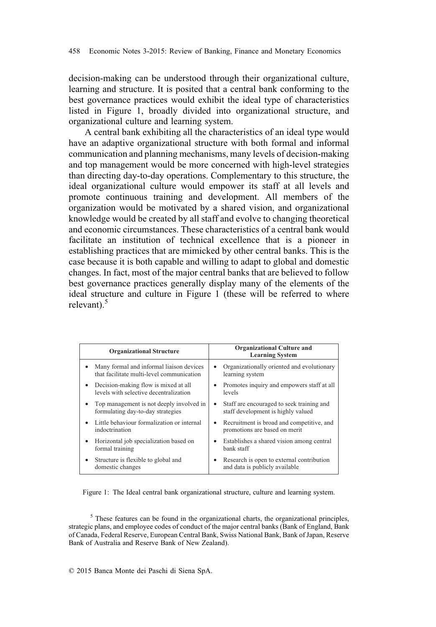decision-making can be understood through their organizational culture, learning and structure. It is posited that a central bank conforming to the best governance practices would exhibit the ideal type of characteristics listed in Figure 1, broadly divided into organizational structure, and organizational culture and learning system.

A central bank exhibiting all the characteristics of an ideal type would have an adaptive organizational structure with both formal and informal communication and planning mechanisms, many levels of decision-making and top management would be more concerned with high-level strategies than directing day-to-day operations. Complementary to this structure, the ideal organizational culture would empower its staff at all levels and promote continuous training and development. All members of the organization would be motivated by a shared vision, and organizational knowledge would be created by all staff and evolve to changing theoretical and economic circumstances. These characteristics of a central bank would facilitate an institution of technical excellence that is a pioneer in establishing practices that are mimicked by other central banks. This is the case because it is both capable and willing to adapt to global and domestic changes. In fact, most of the major central banks that are believed to follow best governance practices generally display many of the elements of the ideal structure and culture in Figure 1 (these will be referred to where relevant). $5$ 

| <b>Organizational Structure</b>                              | <b>Organizational Culture and</b><br><b>Learning System</b>                             |  |
|--------------------------------------------------------------|-----------------------------------------------------------------------------------------|--|
| Many formal and informal liaison devices                     | Organizationally oriented and evolutionary                                              |  |
| that facilitate multi-level communication                    | learning system                                                                         |  |
| Decision-making flow is mixed at all                         | Promotes inquiry and empowers staff at all                                              |  |
| levels with selective decentralization                       | levels                                                                                  |  |
| Top management is not deeply involved in                     | Staff are encouraged to seek training and                                               |  |
| formulating day-to-day strategies                            | staff development is highly valued                                                      |  |
| Little behaviour formalization or internal<br>indoctrination | Recruitment is broad and competitive, and<br>$\bullet$<br>promotions are based on merit |  |
| Horizontal job specialization based on                       | Establishes a shared vision among central                                               |  |
| formal training                                              | bank staff                                                                              |  |
| Structure is flexible to global and                          | Research is open to external contribution                                               |  |
| domestic changes                                             | and data is publicly available                                                          |  |

Figure 1: The Ideal central bank organizational structure, culture and learning system.

 $<sup>5</sup>$  These features can be found in the organizational charts, the organizational principles,</sup> strategic plans, and employee codes of conduct of the major central banks (Bank of England, Bank of Canada, Federal Reserve, European Central Bank, Swiss National Bank, Bank of Japan, Reserve Bank of Australia and Reserve Bank of New Zealand).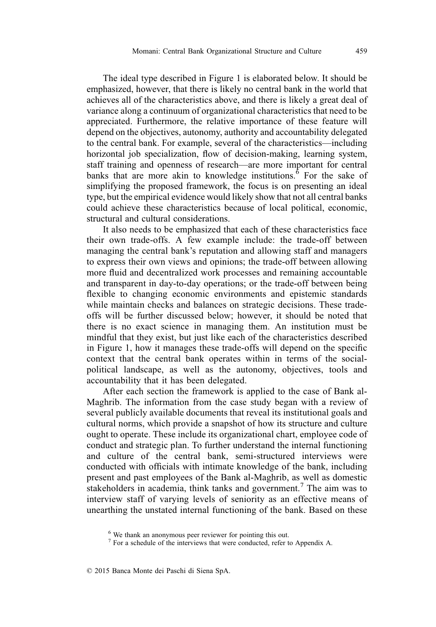The ideal type described in Figure 1 is elaborated below. It should be emphasized, however, that there is likely no central bank in the world that achieves all of the characteristics above, and there is likely a great deal of variance along a continuum of organizational characteristics that need to be appreciated. Furthermore, the relative importance of these feature will depend on the objectives, autonomy, authority and accountability delegated to the central bank. For example, several of the characteristics—including horizontal job specialization, flow of decision-making, learning system, staff training and openness of research—are more important for central banks that are more akin to knowledge institutions.<sup>6</sup> For the sake of simplifying the proposed framework, the focus is on presenting an ideal type, but the empirical evidence would likely show that not all central banks could achieve these characteristics because of local political, economic, structural and cultural considerations.

It also needs to be emphasized that each of these characteristics face their own trade-offs. A few example include: the trade-off between managing the central bank's reputation and allowing staff and managers to express their own views and opinions; the trade-off between allowing more fluid and decentralized work processes and remaining accountable and transparent in day-to-day operations; or the trade-off between being flexible to changing economic environments and epistemic standards while maintain checks and balances on strategic decisions. These tradeoffs will be further discussed below; however, it should be noted that there is no exact science in managing them. An institution must be mindful that they exist, but just like each of the characteristics described in Figure 1, how it manages these trade-offs will depend on the specific context that the central bank operates within in terms of the socialpolitical landscape, as well as the autonomy, objectives, tools and accountability that it has been delegated.

After each section the framework is applied to the case of Bank al-Maghrib. The information from the case study began with a review of several publicly available documents that reveal its institutional goals and cultural norms, which provide a snapshot of how its structure and culture ought to operate. These include its organizational chart, employee code of conduct and strategic plan. To further understand the internal functioning and culture of the central bank, semi-structured interviews were conducted with officials with intimate knowledge of the bank, including present and past employees of the Bank al-Maghrib, as well as domestic stakeholders in academia, think tanks and government.<sup>7</sup> The aim was to interview staff of varying levels of seniority as an effective means of unearthing the unstated internal functioning of the bank. Based on these

 $6$  We thank an anonymous peer reviewer for pointing this out.<br> $7$  For a schedule of the interviews that were conducted, refer to Appendix A.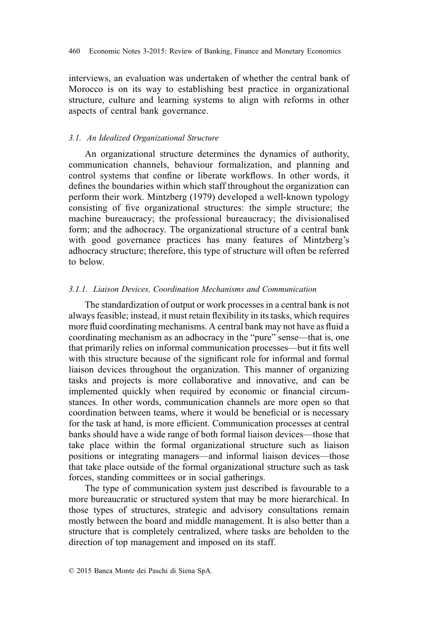interviews, an evaluation was undertaken of whether the central bank of Morocco is on its way to establishing best practice in organizational structure, culture and learning systems to align with reforms in other aspects of central bank governance.

# 3.1. An Idealized Organizational Structure

An organizational structure determines the dynamics of authority, communication channels, behaviour formalization, and planning and control systems that confine or liberate workflows. In other words, it defines the boundaries within which staff throughout the organization can perform their work. Mintzberg (1979) developed a well-known typology consisting of five organizational structures: the simple structure; the machine bureaucracy; the professional bureaucracy; the divisionalised form; and the adhocracy. The organizational structure of a central bank with good governance practices has many features of Mintzberg's adhocracy structure; therefore, this type of structure will often be referred to below.

# 3.1.1. Liaison Devices, Coordination Mechanisms and Communication

The standardization of output or work processes in a central bank is not always feasible; instead, it must retain flexibility in its tasks, which requires more fluid coordinating mechanisms. A central bank may not have as fluid a coordinating mechanism as an adhocracy in the "pure" sense—that is, one that primarily relies on informal communication processes—but it fits well with this structure because of the significant role for informal and formal liaison devices throughout the organization. This manner of organizing tasks and projects is more collaborative and innovative, and can be implemented quickly when required by economic or financial circumstances. In other words, communication channels are more open so that coordination between teams, where it would be beneficial or is necessary for the task at hand, is more efficient. Communication processes at central banks should have a wide range of both formal liaison devices—those that take place within the formal organizational structure such as liaison positions or integrating managers—and informal liaison devices—those that take place outside of the formal organizational structure such as task forces, standing committees or in social gatherings.

The type of communication system just described is favourable to a more bureaucratic or structured system that may be more hierarchical. In those types of structures, strategic and advisory consultations remain mostly between the board and middle management. It is also better than a structure that is completely centralized, where tasks are beholden to the direction of top management and imposed on its staff.

<sup>© 2015</sup> Banca Monte dei Paschi di Siena SpA.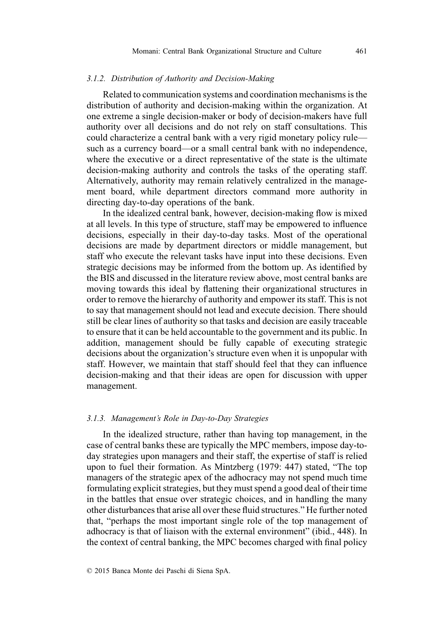## 3.1.2. Distribution of Authority and Decision-Making

Related to communication systems and coordination mechanisms is the distribution of authority and decision-making within the organization. At one extreme a single decision-maker or body of decision-makers have full authority over all decisions and do not rely on staff consultations. This could characterize a central bank with a very rigid monetary policy rule such as a currency board—or a small central bank with no independence, where the executive or a direct representative of the state is the ultimate decision-making authority and controls the tasks of the operating staff. Alternatively, authority may remain relatively centralized in the management board, while department directors command more authority in directing day-to-day operations of the bank.

In the idealized central bank, however, decision-making flow is mixed at all levels. In this type of structure, staff may be empowered to influence decisions, especially in their day-to-day tasks. Most of the operational decisions are made by department directors or middle management, but staff who execute the relevant tasks have input into these decisions. Even strategic decisions may be informed from the bottom up. As identified by the BIS and discussed in the literature review above, most central banks are moving towards this ideal by flattening their organizational structures in order to remove the hierarchy of authority and empower its staff. This is not to say that management should not lead and execute decision. There should still be clear lines of authority so that tasks and decision are easily traceable to ensure that it can be held accountable to the government and its public. In addition, management should be fully capable of executing strategic decisions about the organization's structure even when it is unpopular with staff. However, we maintain that staff should feel that they can influence decision-making and that their ideas are open for discussion with upper management.

#### 3.1.3. Management's Role in Day-to-Day Strategies

In the idealized structure, rather than having top management, in the case of central banks these are typically the MPC members, impose day-today strategies upon managers and their staff, the expertise of staff is relied upon to fuel their formation. As Mintzberg (1979: 447) stated, "The top managers of the strategic apex of the adhocracy may not spend much time formulating explicit strategies, but they must spend a good deal of their time in the battles that ensue over strategic choices, and in handling the many other disturbances that arise all over these fluid structures." He further noted that, "perhaps the most important single role of the top management of adhocracy is that of liaison with the external environment" (ibid., 448). In the context of central banking, the MPC becomes charged with final policy

<sup>© 2015</sup> Banca Monte dei Paschi di Siena SpA.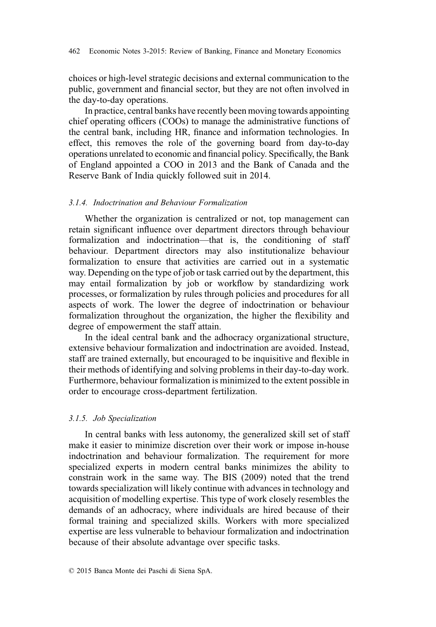choices or high-level strategic decisions and external communication to the public, government and financial sector, but they are not often involved in the day-to-day operations.

In practice, central banks have recently been moving towards appointing chief operating officers (COOs) to manage the administrative functions of the central bank, including HR, finance and information technologies. In effect, this removes the role of the governing board from day-to-day operations unrelated to economic and financial policy. Specifically, the Bank of England appointed a COO in 2013 and the Bank of Canada and the Reserve Bank of India quickly followed suit in 2014.

#### 3.1.4. Indoctrination and Behaviour Formalization

Whether the organization is centralized or not, top management can retain significant influence over department directors through behaviour formalization and indoctrination—that is, the conditioning of staff behaviour. Department directors may also institutionalize behaviour formalization to ensure that activities are carried out in a systematic way. Depending on the type of job or task carried out by the department, this may entail formalization by job or workflow by standardizing work processes, or formalization by rules through policies and procedures for all aspects of work. The lower the degree of indoctrination or behaviour formalization throughout the organization, the higher the flexibility and degree of empowerment the staff attain.

In the ideal central bank and the adhocracy organizational structure, extensive behaviour formalization and indoctrination are avoided. Instead, staff are trained externally, but encouraged to be inquisitive and flexible in their methods of identifying and solving problems in their day-to-day work. Furthermore, behaviour formalization is minimized to the extent possible in order to encourage cross-department fertilization.

#### 3.1.5. Job Specialization

In central banks with less autonomy, the generalized skill set of staff make it easier to minimize discretion over their work or impose in-house indoctrination and behaviour formalization. The requirement for more specialized experts in modern central banks minimizes the ability to constrain work in the same way. The BIS (2009) noted that the trend towards specialization will likely continue with advances in technology and acquisition of modelling expertise. This type of work closely resembles the demands of an adhocracy, where individuals are hired because of their formal training and specialized skills. Workers with more specialized expertise are less vulnerable to behaviour formalization and indoctrination because of their absolute advantage over specific tasks.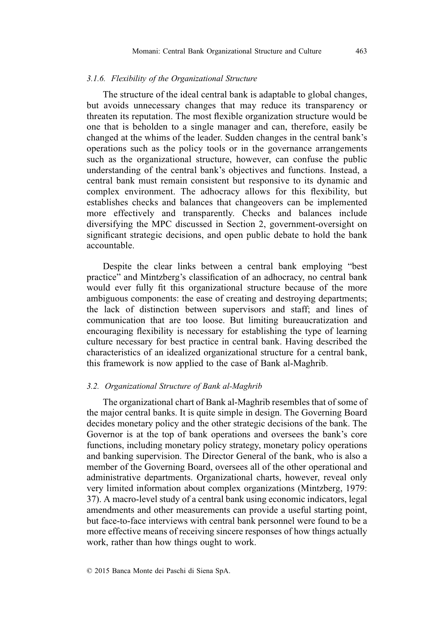## 3.1.6. Flexibility of the Organizational Structure

The structure of the ideal central bank is adaptable to global changes, but avoids unnecessary changes that may reduce its transparency or threaten its reputation. The most flexible organization structure would be one that is beholden to a single manager and can, therefore, easily be changed at the whims of the leader. Sudden changes in the central bank's operations such as the policy tools or in the governance arrangements such as the organizational structure, however, can confuse the public understanding of the central bank's objectives and functions. Instead, a central bank must remain consistent but responsive to its dynamic and complex environment. The adhocracy allows for this flexibility, but establishes checks and balances that changeovers can be implemented more effectively and transparently. Checks and balances include diversifying the MPC discussed in Section 2, government-oversight on significant strategic decisions, and open public debate to hold the bank accountable.

Despite the clear links between a central bank employing "best practice" and Mintzberg's classification of an adhocracy, no central bank would ever fully fit this organizational structure because of the more ambiguous components: the ease of creating and destroying departments; the lack of distinction between supervisors and staff; and lines of communication that are too loose. But limiting bureaucratization and encouraging flexibility is necessary for establishing the type of learning culture necessary for best practice in central bank. Having described the characteristics of an idealized organizational structure for a central bank, this framework is now applied to the case of Bank al-Maghrib.

#### 3.2. Organizational Structure of Bank al-Maghrib

The organizational chart of Bank al-Maghrib resembles that of some of the major central banks. It is quite simple in design. The Governing Board decides monetary policy and the other strategic decisions of the bank. The Governor is at the top of bank operations and oversees the bank's core functions, including monetary policy strategy, monetary policy operations and banking supervision. The Director General of the bank, who is also a member of the Governing Board, oversees all of the other operational and administrative departments. Organizational charts, however, reveal only very limited information about complex organizations (Mintzberg, 1979: 37). A macro-level study of a central bank using economic indicators, legal amendments and other measurements can provide a useful starting point, but face-to-face interviews with central bank personnel were found to be a more effective means of receiving sincere responses of how things actually work, rather than how things ought to work.

<sup>© 2015</sup> Banca Monte dei Paschi di Siena SpA.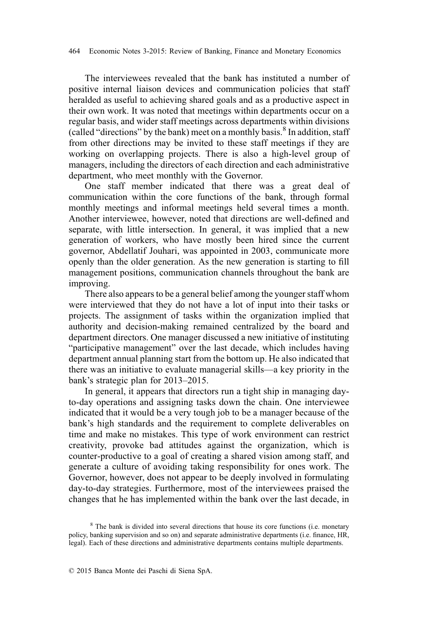The interviewees revealed that the bank has instituted a number of positive internal liaison devices and communication policies that staff heralded as useful to achieving shared goals and as a productive aspect in their own work. It was noted that meetings within departments occur on a regular basis, and wider staff meetings across departments within divisions (called "directions" by the bank) meet on a monthly basis. $8 \text{ In addition, staff}$ from other directions may be invited to these staff meetings if they are working on overlapping projects. There is also a high-level group of managers, including the directors of each direction and each administrative department, who meet monthly with the Governor.

One staff member indicated that there was a great deal of communication within the core functions of the bank, through formal monthly meetings and informal meetings held several times a month. Another interviewee, however, noted that directions are well-defined and separate, with little intersection. In general, it was implied that a new generation of workers, who have mostly been hired since the current governor, Abdellatif Jouhari, was appointed in 2003, communicate more openly than the older generation. As the new generation is starting to fill management positions, communication channels throughout the bank are improving.

There also appears to be a general belief among the younger staff whom were interviewed that they do not have a lot of input into their tasks or projects. The assignment of tasks within the organization implied that authority and decision-making remained centralized by the board and department directors. One manager discussed a new initiative of instituting "participative management" over the last decade, which includes having department annual planning start from the bottom up. He also indicated that there was an initiative to evaluate managerial skills—a key priority in the bank's strategic plan for 2013–2015.

In general, it appears that directors run a tight ship in managing dayto-day operations and assigning tasks down the chain. One interviewee indicated that it would be a very tough job to be a manager because of the bank's high standards and the requirement to complete deliverables on time and make no mistakes. This type of work environment can restrict creativity, provoke bad attitudes against the organization, which is counter-productive to a goal of creating a shared vision among staff, and generate a culture of avoiding taking responsibility for ones work. The Governor, however, does not appear to be deeply involved in formulating day-to-day strategies. Furthermore, most of the interviewees praised the changes that he has implemented within the bank over the last decade, in

<sup>&</sup>lt;sup>8</sup> The bank is divided into several directions that house its core functions (i.e. monetary policy, banking supervision and so on) and separate administrative departments (i.e. finance, HR, legal). Each of these directions and administrative departments contains multiple departments.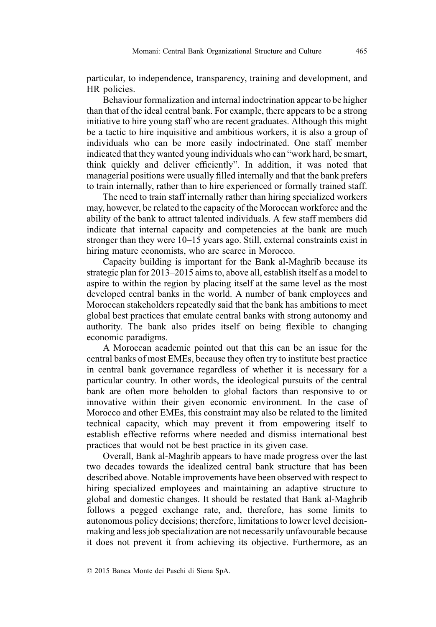particular, to independence, transparency, training and development, and HR policies.

Behaviour formalization and internal indoctrination appear to be higher than that of the ideal central bank. For example, there appears to be a strong initiative to hire young staff who are recent graduates. Although this might be a tactic to hire inquisitive and ambitious workers, it is also a group of individuals who can be more easily indoctrinated. One staff member indicated that they wanted young individuals who can "work hard, be smart, think quickly and deliver efficiently". In addition, it was noted that managerial positions were usually filled internally and that the bank prefers to train internally, rather than to hire experienced or formally trained staff.

The need to train staff internally rather than hiring specialized workers may, however, be related to the capacity of the Moroccan workforce and the ability of the bank to attract talented individuals. A few staff members did indicate that internal capacity and competencies at the bank are much stronger than they were 10–15 years ago. Still, external constraints exist in hiring mature economists, who are scarce in Morocco.

Capacity building is important for the Bank al-Maghrib because its strategic plan for 2013–2015 aims to, above all, establish itself as a model to aspire to within the region by placing itself at the same level as the most developed central banks in the world. A number of bank employees and Moroccan stakeholders repeatedly said that the bank has ambitions to meet global best practices that emulate central banks with strong autonomy and authority. The bank also prides itself on being flexible to changing economic paradigms.

A Moroccan academic pointed out that this can be an issue for the central banks of most EMEs, because they often try to institute best practice in central bank governance regardless of whether it is necessary for a particular country. In other words, the ideological pursuits of the central bank are often more beholden to global factors than responsive to or innovative within their given economic environment. In the case of Morocco and other EMEs, this constraint may also be related to the limited technical capacity, which may prevent it from empowering itself to establish effective reforms where needed and dismiss international best practices that would not be best practice in its given case.

Overall, Bank al-Maghrib appears to have made progress over the last two decades towards the idealized central bank structure that has been described above. Notable improvements have been observed with respect to hiring specialized employees and maintaining an adaptive structure to global and domestic changes. It should be restated that Bank al-Maghrib follows a pegged exchange rate, and, therefore, has some limits to autonomous policy decisions; therefore, limitations to lower level decisionmaking and less job specialization are not necessarily unfavourable because it does not prevent it from achieving its objective. Furthermore, as an

<sup>© 2015</sup> Banca Monte dei Paschi di Siena SpA.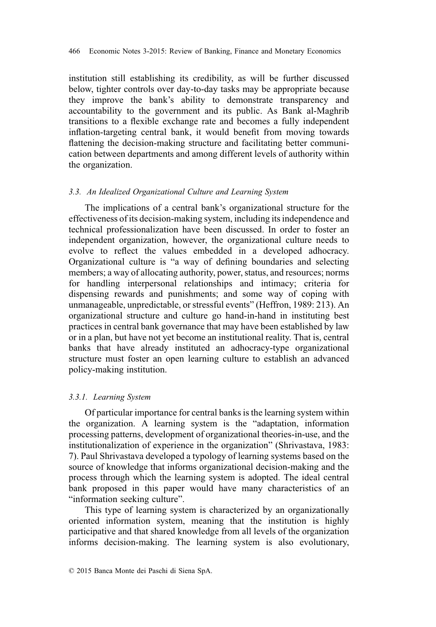institution still establishing its credibility, as will be further discussed below, tighter controls over day-to-day tasks may be appropriate because they improve the bank's ability to demonstrate transparency and accountability to the government and its public. As Bank al-Maghrib transitions to a flexible exchange rate and becomes a fully independent inflation-targeting central bank, it would benefit from moving towards flattening the decision-making structure and facilitating better communication between departments and among different levels of authority within the organization.

## 3.3. An Idealized Organizational Culture and Learning System

The implications of a central bank's organizational structure for the effectiveness of its decision-making system, including its independence and technical professionalization have been discussed. In order to foster an independent organization, however, the organizational culture needs to evolve to reflect the values embedded in a developed adhocracy. Organizational culture is "a way of defining boundaries and selecting members; a way of allocating authority, power, status, and resources; norms for handling interpersonal relationships and intimacy; criteria for dispensing rewards and punishments; and some way of coping with unmanageable, unpredictable, or stressful events" (Heffron, 1989: 213). An organizational structure and culture go hand-in-hand in instituting best practices in central bank governance that may have been established by law or in a plan, but have not yet become an institutional reality. That is, central banks that have already instituted an adhocracy-type organizational structure must foster an open learning culture to establish an advanced policy-making institution.

## 3.3.1. Learning System

Of particular importance for central banks is the learning system within the organization. A learning system is the "adaptation, information processing patterns, development of organizational theories-in-use, and the institutionalization of experience in the organization" (Shrivastava, 1983: 7). Paul Shrivastava developed a typology of learning systems based on the source of knowledge that informs organizational decision-making and the process through which the learning system is adopted. The ideal central bank proposed in this paper would have many characteristics of an "information seeking culture".

This type of learning system is characterized by an organizationally oriented information system, meaning that the institution is highly participative and that shared knowledge from all levels of the organization informs decision-making. The learning system is also evolutionary,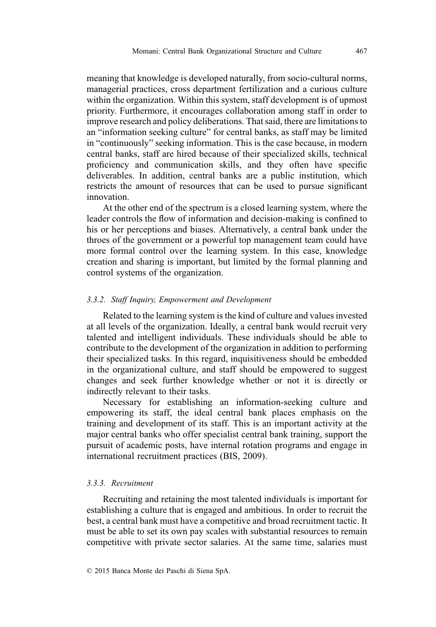meaning that knowledge is developed naturally, from socio-cultural norms, managerial practices, cross department fertilization and a curious culture within the organization. Within this system, staff development is of upmost priority. Furthermore, it encourages collaboration among staff in order to improve research and policy deliberations. That said, there are limitations to an "information seeking culture" for central banks, as staff may be limited in "continuously" seeking information. This is the case because, in modern central banks, staff are hired because of their specialized skills, technical proficiency and communication skills, and they often have specific deliverables. In addition, central banks are a public institution, which restricts the amount of resources that can be used to pursue significant innovation.

At the other end of the spectrum is a closed learning system, where the leader controls the flow of information and decision-making is confined to his or her perceptions and biases. Alternatively, a central bank under the throes of the government or a powerful top management team could have more formal control over the learning system. In this case, knowledge creation and sharing is important, but limited by the formal planning and control systems of the organization.

#### 3.3.2. Staff Inquiry, Empowerment and Development

Related to the learning system is the kind of culture and values invested at all levels of the organization. Ideally, a central bank would recruit very talented and intelligent individuals. These individuals should be able to contribute to the development of the organization in addition to performing their specialized tasks. In this regard, inquisitiveness should be embedded in the organizational culture, and staff should be empowered to suggest changes and seek further knowledge whether or not it is directly or indirectly relevant to their tasks.

Necessary for establishing an information-seeking culture and empowering its staff, the ideal central bank places emphasis on the training and development of its staff. This is an important activity at the major central banks who offer specialist central bank training, support the pursuit of academic posts, have internal rotation programs and engage in international recruitment practices (BIS, 2009).

#### 3.3.3. Recruitment

Recruiting and retaining the most talented individuals is important for establishing a culture that is engaged and ambitious. In order to recruit the best, a central bank must have a competitive and broad recruitment tactic. It must be able to set its own pay scales with substantial resources to remain competitive with private sector salaries. At the same time, salaries must

<sup>© 2015</sup> Banca Monte dei Paschi di Siena SpA.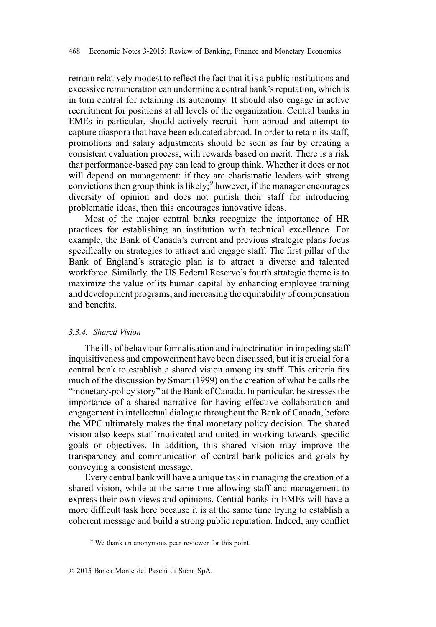remain relatively modest to reflect the fact that it is a public institutions and excessive remuneration can undermine a central bank's reputation, which is in turn central for retaining its autonomy. It should also engage in active recruitment for positions at all levels of the organization. Central banks in EMEs in particular, should actively recruit from abroad and attempt to capture diaspora that have been educated abroad. In order to retain its staff, promotions and salary adjustments should be seen as fair by creating a consistent evaluation process, with rewards based on merit. There is a risk that performance-based pay can lead to group think. Whether it does or not will depend on management: if they are charismatic leaders with strong convictions then group think is likely; $9$  however, if the manager encourages diversity of opinion and does not punish their staff for introducing problematic ideas, then this encourages innovative ideas.

Most of the major central banks recognize the importance of HR practices for establishing an institution with technical excellence. For example, the Bank of Canada's current and previous strategic plans focus specifically on strategies to attract and engage staff. The first pillar of the Bank of England's strategic plan is to attract a diverse and talented workforce. Similarly, the US Federal Reserve's fourth strategic theme is to maximize the value of its human capital by enhancing employee training and development programs, and increasing the equitability of compensation and benefits.

## 3.3.4. Shared Vision

The ills of behaviour formalisation and indoctrination in impeding staff inquisitiveness and empowerment have been discussed, but it is crucial for a central bank to establish a shared vision among its staff. This criteria fits much of the discussion by Smart (1999) on the creation of what he calls the "monetary-policy story" at the Bank of Canada. In particular, he stresses the importance of a shared narrative for having effective collaboration and engagement in intellectual dialogue throughout the Bank of Canada, before the MPC ultimately makes the final monetary policy decision. The shared vision also keeps staff motivated and united in working towards specific goals or objectives. In addition, this shared vision may improve the transparency and communication of central bank policies and goals by conveying a consistent message.

Every central bank will have a unique task in managing the creation of a shared vision, while at the same time allowing staff and management to express their own views and opinions. Central banks in EMEs will have a more difficult task here because it is at the same time trying to establish a coherent message and build a strong public reputation. Indeed, any conflict

<sup>9</sup> We thank an anonymous peer reviewer for this point.

<sup>© 2015</sup> Banca Monte dei Paschi di Siena SpA.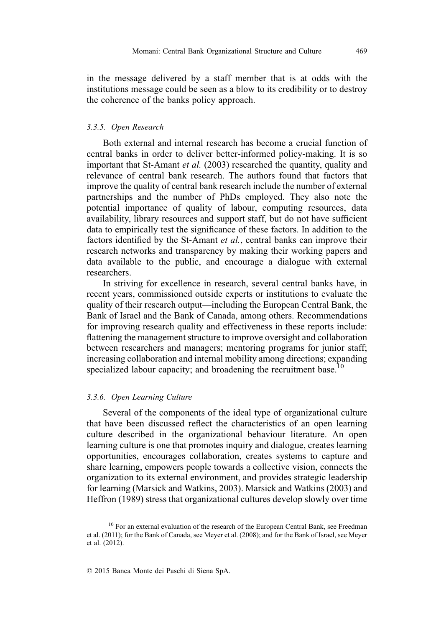in the message delivered by a staff member that is at odds with the institutions message could be seen as a blow to its credibility or to destroy the coherence of the banks policy approach.

#### 3.3.5. Open Research

Both external and internal research has become a crucial function of central banks in order to deliver better-informed policy-making. It is so important that St-Amant et al. (2003) researched the quantity, quality and relevance of central bank research. The authors found that factors that improve the quality of central bank research include the number of external partnerships and the number of PhDs employed. They also note the potential importance of quality of labour, computing resources, data availability, library resources and support staff, but do not have sufficient data to empirically test the significance of these factors. In addition to the factors identified by the St-Amant et al., central banks can improve their research networks and transparency by making their working papers and data available to the public, and encourage a dialogue with external researchers.

In striving for excellence in research, several central banks have, in recent years, commissioned outside experts or institutions to evaluate the quality of their research output—including the European Central Bank, the Bank of Israel and the Bank of Canada, among others. Recommendations for improving research quality and effectiveness in these reports include: flattening the management structure to improve oversight and collaboration between researchers and managers; mentoring programs for junior staff; increasing collaboration and internal mobility among directions; expanding specialized labour capacity; and broadening the recruitment base.<sup>10</sup>

#### 3.3.6. Open Learning Culture

Several of the components of the ideal type of organizational culture that have been discussed reflect the characteristics of an open learning culture described in the organizational behaviour literature. An open learning culture is one that promotes inquiry and dialogue, creates learning opportunities, encourages collaboration, creates systems to capture and share learning, empowers people towards a collective vision, connects the organization to its external environment, and provides strategic leadership for learning (Marsick and Watkins, 2003). Marsick and Watkins (2003) and Heffron (1989) stress that organizational cultures develop slowly over time

<sup>&</sup>lt;sup>10</sup> For an external evaluation of the research of the European Central Bank, see Freedman et al. (2011); for the Bank of Canada, see Meyer et al. (2008); and for the Bank of Israel, see Meyer et al. (2012).

<sup>© 2015</sup> Banca Monte dei Paschi di Siena SpA.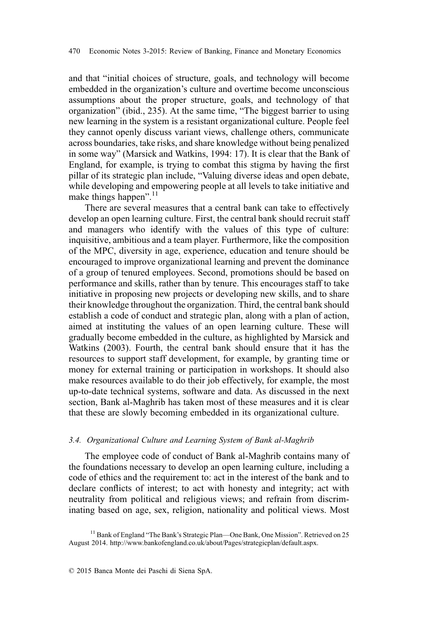and that "initial choices of structure, goals, and technology will become embedded in the organization's culture and overtime become unconscious assumptions about the proper structure, goals, and technology of that organization" (ibid., 235). At the same time, "The biggest barrier to using new learning in the system is a resistant organizational culture. People feel they cannot openly discuss variant views, challenge others, communicate across boundaries, take risks, and share knowledge without being penalized in some way" (Marsick and Watkins, 1994: 17). It is clear that the Bank of England, for example, is trying to combat this stigma by having the first pillar of its strategic plan include, "Valuing diverse ideas and open debate, while developing and empowering people at all levels to take initiative and make things happen".<sup>11</sup>

There are several measures that a central bank can take to effectively develop an open learning culture. First, the central bank should recruit staff and managers who identify with the values of this type of culture: inquisitive, ambitious and a team player. Furthermore, like the composition of the MPC, diversity in age, experience, education and tenure should be encouraged to improve organizational learning and prevent the dominance of a group of tenured employees. Second, promotions should be based on performance and skills, rather than by tenure. This encourages staff to take initiative in proposing new projects or developing new skills, and to share their knowledge throughout the organization. Third, the central bank should establish a code of conduct and strategic plan, along with a plan of action, aimed at instituting the values of an open learning culture. These will gradually become embedded in the culture, as highlighted by Marsick and Watkins (2003). Fourth, the central bank should ensure that it has the resources to support staff development, for example, by granting time or money for external training or participation in workshops. It should also make resources available to do their job effectively, for example, the most up-to-date technical systems, software and data. As discussed in the next section, Bank al-Maghrib has taken most of these measures and it is clear that these are slowly becoming embedded in its organizational culture.

## 3.4. Organizational Culture and Learning System of Bank al-Maghrib

The employee code of conduct of Bank al-Maghrib contains many of the foundations necessary to develop an open learning culture, including a code of ethics and the requirement to: act in the interest of the bank and to declare conflicts of interest; to act with honesty and integrity; act with neutrality from political and religious views; and refrain from discriminating based on age, sex, religion, nationality and political views. Most

<sup>&</sup>lt;sup>11</sup> Bank of England "The Bank's Strategic Plan—One Bank, One Mission". Retrieved on 25 August 2014.<http://www.bankofengland.co.uk/about/Pages/strategicplan/default.aspx>.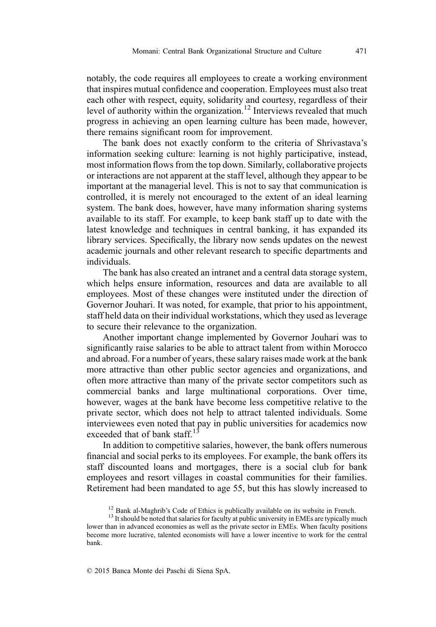notably, the code requires all employees to create a working environment that inspires mutual confidence and cooperation. Employees must also treat each other with respect, equity, solidarity and courtesy, regardless of their level of authority within the organization.<sup>12</sup> Interviews revealed that much progress in achieving an open learning culture has been made, however, there remains significant room for improvement.

The bank does not exactly conform to the criteria of Shrivastava's information seeking culture: learning is not highly participative, instead, most information flows from the top down. Similarly, collaborative projects or interactions are not apparent at the staff level, although they appear to be important at the managerial level. This is not to say that communication is controlled, it is merely not encouraged to the extent of an ideal learning system. The bank does, however, have many information sharing systems available to its staff. For example, to keep bank staff up to date with the latest knowledge and techniques in central banking, it has expanded its library services. Specifically, the library now sends updates on the newest academic journals and other relevant research to specific departments and individuals.

The bank has also created an intranet and a central data storage system, which helps ensure information, resources and data are available to all employees. Most of these changes were instituted under the direction of Governor Jouhari. It was noted, for example, that prior to his appointment, staff held data on their individual workstations, which they used as leverage to secure their relevance to the organization.

Another important change implemented by Governor Jouhari was to significantly raise salaries to be able to attract talent from within Morocco and abroad. For a number of years, these salary raises made work at the bank more attractive than other public sector agencies and organizations, and often more attractive than many of the private sector competitors such as commercial banks and large multinational corporations. Over time, however, wages at the bank have become less competitive relative to the private sector, which does not help to attract talented individuals. Some interviewees even noted that pay in public universities for academics now exceeded that of bank staff.<sup>13</sup>

In addition to competitive salaries, however, the bank offers numerous financial and social perks to its employees. For example, the bank offers its staff discounted loans and mortgages, there is a social club for bank employees and resort villages in coastal communities for their families. Retirement had been mandated to age 55, but this has slowly increased to

<sup>&</sup>lt;sup>12</sup> Bank al-Maghrib's Code of Ethics is publically available on its website in French. <sup>13</sup> It should be noted that salaries for faculty at public university in EMEs are typically much

lower than in advanced economies as well as the private sector in EMEs. When faculty positions become more lucrative, talented economists will have a lower incentive to work for the central bank.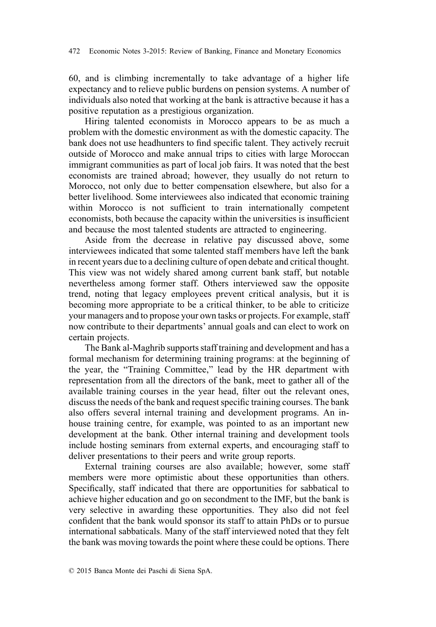60, and is climbing incrementally to take advantage of a higher life expectancy and to relieve public burdens on pension systems. A number of individuals also noted that working at the bank is attractive because it has a positive reputation as a prestigious organization.

Hiring talented economists in Morocco appears to be as much a problem with the domestic environment as with the domestic capacity. The bank does not use headhunters to find specific talent. They actively recruit outside of Morocco and make annual trips to cities with large Moroccan immigrant communities as part of local job fairs. It was noted that the best economists are trained abroad; however, they usually do not return to Morocco, not only due to better compensation elsewhere, but also for a better livelihood. Some interviewees also indicated that economic training within Morocco is not sufficient to train internationally competent economists, both because the capacity within the universities is insufficient and because the most talented students are attracted to engineering.

Aside from the decrease in relative pay discussed above, some interviewees indicated that some talented staff members have left the bank in recent years due to a declining culture of open debate and critical thought. This view was not widely shared among current bank staff, but notable nevertheless among former staff. Others interviewed saw the opposite trend, noting that legacy employees prevent critical analysis, but it is becoming more appropriate to be a critical thinker, to be able to criticize your managers and to propose your own tasks or projects. For example, staff now contribute to their departments' annual goals and can elect to work on certain projects.

The Bank al-Maghrib supports staff training and development and has a formal mechanism for determining training programs: at the beginning of the year, the "Training Committee," lead by the HR department with representation from all the directors of the bank, meet to gather all of the available training courses in the year head, filter out the relevant ones, discuss the needs of the bank and request specific training courses. The bank also offers several internal training and development programs. An inhouse training centre, for example, was pointed to as an important new development at the bank. Other internal training and development tools include hosting seminars from external experts, and encouraging staff to deliver presentations to their peers and write group reports.

External training courses are also available; however, some staff members were more optimistic about these opportunities than others. Specifically, staff indicated that there are opportunities for sabbatical to achieve higher education and go on secondment to the IMF, but the bank is very selective in awarding these opportunities. They also did not feel confident that the bank would sponsor its staff to attain PhDs or to pursue international sabbaticals. Many of the staff interviewed noted that they felt the bank was moving towards the point where these could be options. There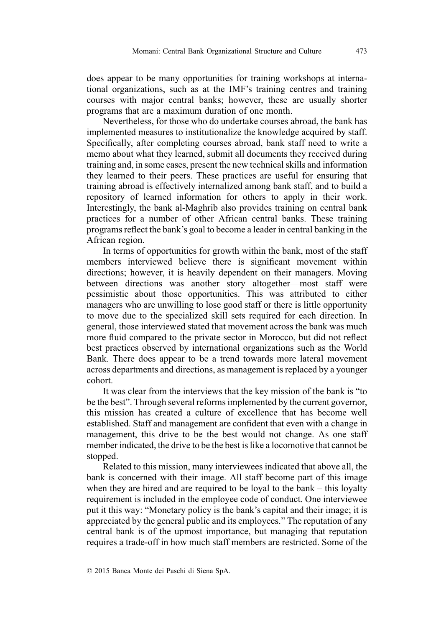does appear to be many opportunities for training workshops at international organizations, such as at the IMF's training centres and training courses with major central banks; however, these are usually shorter programs that are a maximum duration of one month.

Nevertheless, for those who do undertake courses abroad, the bank has implemented measures to institutionalize the knowledge acquired by staff. Specifically, after completing courses abroad, bank staff need to write a memo about what they learned, submit all documents they received during training and, in some cases, present the new technical skills and information they learned to their peers. These practices are useful for ensuring that training abroad is effectively internalized among bank staff, and to build a repository of learned information for others to apply in their work. Interestingly, the bank al-Maghrib also provides training on central bank practices for a number of other African central banks. These training programs reflect the bank's goal to become a leader in central banking in the African region.

In terms of opportunities for growth within the bank, most of the staff members interviewed believe there is significant movement within directions; however, it is heavily dependent on their managers. Moving between directions was another story altogether—most staff were pessimistic about those opportunities. This was attributed to either managers who are unwilling to lose good staff or there is little opportunity to move due to the specialized skill sets required for each direction. In general, those interviewed stated that movement across the bank was much more fluid compared to the private sector in Morocco, but did not reflect best practices observed by international organizations such as the World Bank. There does appear to be a trend towards more lateral movement across departments and directions, as management is replaced by a younger cohort.

It was clear from the interviews that the key mission of the bank is "to be the best". Through several reforms implemented by the current governor, this mission has created a culture of excellence that has become well established. Staff and management are confident that even with a change in management, this drive to be the best would not change. As one staff member indicated, the drive to be the best is like a locomotive that cannot be stopped.

Related to this mission, many interviewees indicated that above all, the bank is concerned with their image. All staff become part of this image when they are hired and are required to be loyal to the bank – this loyalty requirement is included in the employee code of conduct. One interviewee put it this way: "Monetary policy is the bank's capital and their image; it is appreciated by the general public and its employees." The reputation of any central bank is of the upmost importance, but managing that reputation requires a trade-off in how much staff members are restricted. Some of the

<sup>© 2015</sup> Banca Monte dei Paschi di Siena SpA.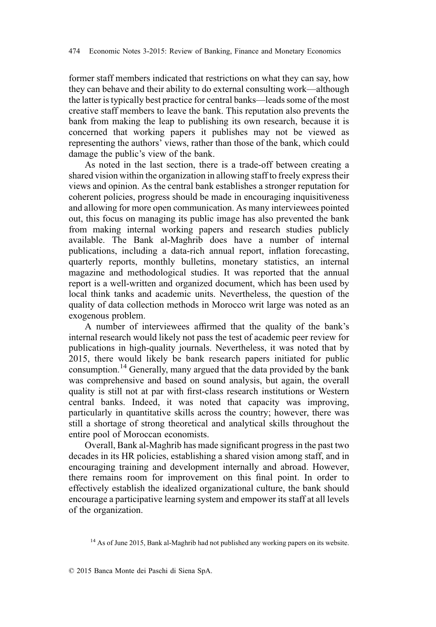former staff members indicated that restrictions on what they can say, how they can behave and their ability to do external consulting work—although the latter is typically best practice for central banks—leads some of the most creative staff members to leave the bank. This reputation also prevents the bank from making the leap to publishing its own research, because it is concerned that working papers it publishes may not be viewed as representing the authors' views, rather than those of the bank, which could damage the public's view of the bank.

As noted in the last section, there is a trade-off between creating a shared vision within the organization in allowing staff to freely express their views and opinion. As the central bank establishes a stronger reputation for coherent policies, progress should be made in encouraging inquisitiveness and allowing for more open communication. As many interviewees pointed out, this focus on managing its public image has also prevented the bank from making internal working papers and research studies publicly available. The Bank al-Maghrib does have a number of internal publications, including a data-rich annual report, inflation forecasting, quarterly reports, monthly bulletins, monetary statistics, an internal magazine and methodological studies. It was reported that the annual report is a well-written and organized document, which has been used by local think tanks and academic units. Nevertheless, the question of the quality of data collection methods in Morocco writ large was noted as an exogenous problem.

A number of interviewees affirmed that the quality of the bank's internal research would likely not pass the test of academic peer review for publications in high-quality journals. Nevertheless, it was noted that by 2015, there would likely be bank research papers initiated for public consumption.<sup>14</sup> Generally, many argued that the data provided by the bank was comprehensive and based on sound analysis, but again, the overall quality is still not at par with first-class research institutions or Western central banks. Indeed, it was noted that capacity was improving, particularly in quantitative skills across the country; however, there was still a shortage of strong theoretical and analytical skills throughout the entire pool of Moroccan economists.

Overall, Bank al-Maghrib has made significant progress in the past two decades in its HR policies, establishing a shared vision among staff, and in encouraging training and development internally and abroad. However, there remains room for improvement on this final point. In order to effectively establish the idealized organizational culture, the bank should encourage a participative learning system and empower its staff at all levels of the organization.

<sup>&</sup>lt;sup>14</sup> As of June 2015, Bank al-Maghrib had not published any working papers on its website.

<sup>© 2015</sup> Banca Monte dei Paschi di Siena SpA.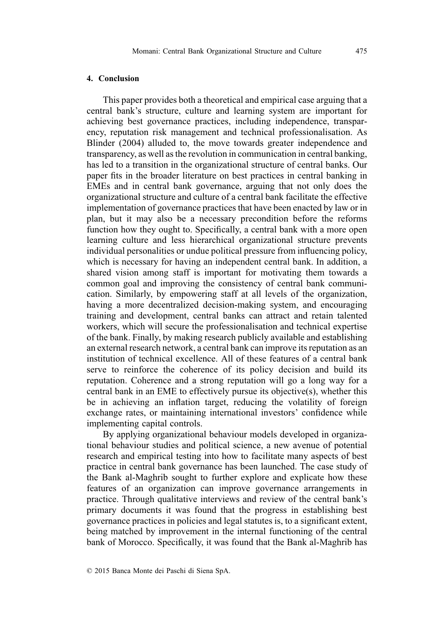## 4. Conclusion

This paper provides both a theoretical and empirical case arguing that a central bank's structure, culture and learning system are important for achieving best governance practices, including independence, transparency, reputation risk management and technical professionalisation. As Blinder (2004) alluded to, the move towards greater independence and transparency, as well as the revolution in communication in central banking, has led to a transition in the organizational structure of central banks. Our paper fits in the broader literature on best practices in central banking in EMEs and in central bank governance, arguing that not only does the organizational structure and culture of a central bank facilitate the effective implementation of governance practices that have been enacted by law or in plan, but it may also be a necessary precondition before the reforms function how they ought to. Specifically, a central bank with a more open learning culture and less hierarchical organizational structure prevents individual personalities or undue political pressure from influencing policy, which is necessary for having an independent central bank. In addition, a shared vision among staff is important for motivating them towards a common goal and improving the consistency of central bank communication. Similarly, by empowering staff at all levels of the organization, having a more decentralized decision-making system, and encouraging training and development, central banks can attract and retain talented workers, which will secure the professionalisation and technical expertise of the bank. Finally, by making research publicly available and establishing an external research network, a central bank can improve its reputation as an institution of technical excellence. All of these features of a central bank serve to reinforce the coherence of its policy decision and build its reputation. Coherence and a strong reputation will go a long way for a central bank in an EME to effectively pursue its objective(s), whether this be in achieving an inflation target, reducing the volatility of foreign exchange rates, or maintaining international investors' confidence while implementing capital controls.

By applying organizational behaviour models developed in organizational behaviour studies and political science, a new avenue of potential research and empirical testing into how to facilitate many aspects of best practice in central bank governance has been launched. The case study of the Bank al-Maghrib sought to further explore and explicate how these features of an organization can improve governance arrangements in practice. Through qualitative interviews and review of the central bank's primary documents it was found that the progress in establishing best governance practices in policies and legal statutes is, to a significant extent, being matched by improvement in the internal functioning of the central bank of Morocco. Specifically, it was found that the Bank al-Maghrib has

<sup>© 2015</sup> Banca Monte dei Paschi di Siena SpA.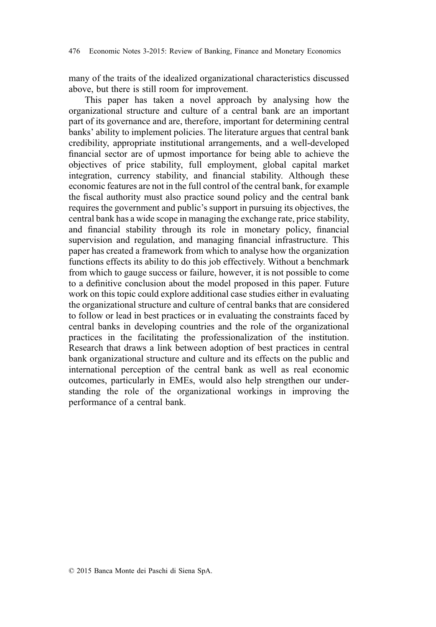many of the traits of the idealized organizational characteristics discussed above, but there is still room for improvement.

This paper has taken a novel approach by analysing how the organizational structure and culture of a central bank are an important part of its governance and are, therefore, important for determining central banks' ability to implement policies. The literature argues that central bank credibility, appropriate institutional arrangements, and a well-developed financial sector are of upmost importance for being able to achieve the objectives of price stability, full employment, global capital market integration, currency stability, and financial stability. Although these economic features are not in the full control of the central bank, for example the fiscal authority must also practice sound policy and the central bank requires the government and public's support in pursuing its objectives, the central bank has a wide scope in managing the exchange rate, price stability, and financial stability through its role in monetary policy, financial supervision and regulation, and managing financial infrastructure. This paper has created a framework from which to analyse how the organization functions effects its ability to do this job effectively. Without a benchmark from which to gauge success or failure, however, it is not possible to come to a definitive conclusion about the model proposed in this paper. Future work on this topic could explore additional case studies either in evaluating the organizational structure and culture of central banks that are considered to follow or lead in best practices or in evaluating the constraints faced by central banks in developing countries and the role of the organizational practices in the facilitating the professionalization of the institution. Research that draws a link between adoption of best practices in central bank organizational structure and culture and its effects on the public and international perception of the central bank as well as real economic outcomes, particularly in EMEs, would also help strengthen our understanding the role of the organizational workings in improving the performance of a central bank.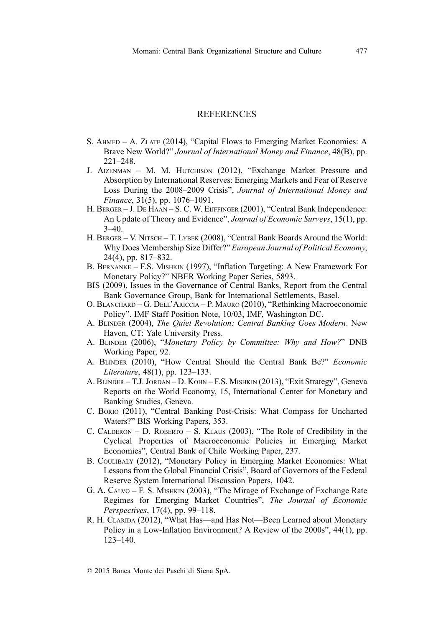# **REFERENCES**

- S. AHMED A. ZLATE (2014), "Capital Flows to Emerging Market Economies: A Brave New World?" Journal of International Money and Finance, 48(B), pp. 221–248.
- J. AIZENMAN M. M. HUTCHISON (2012), "Exchange Market Pressure and Absorption by International Reserves: Emerging Markets and Fear of Reserve Loss During the 2008–2009 Crisis", Journal of International Money and Finance, 31(5), pp. 1076–1091.
- H. BERGER J. DE HAAN S. C. W. EIJFFINGER (2001), "Central Bank Independence: An Update of Theory and Evidence", Journal of Economic Surveys, 15(1), pp.  $3-40.$
- H. BERGER V. NITSCH T. LYBEK (2008), "Central Bank Boards Around the World: Why Does Membership Size Differ?" European Journal of Political Economy, 24(4), pp. 817–832.
- B. BERNANKE F.S. MISHKIN (1997), "Inflation Targeting: A New Framework For Monetary Policy?" NBER Working Paper Series, 5893.
- BIS (2009), Issues in the Governance of Central Banks, Report from the Central Bank Governance Group, Bank for International Settlements, Basel.
- O. BLANCHARD G. DELL'ARICCIA P. MAURO (2010), "Rethinking Macroeconomic Policy". IMF Staff Position Note, 10/03, IMF, Washington DC.
- A. BLINDER (2004), The Quiet Revolution: Central Banking Goes Modern. New Haven, CT: Yale University Press.
- A. BLINDER (2006), "Monetary Policy by Committee: Why and How?" DNB Working Paper, 92.
- A. BLINDER (2010), "How Central Should the Central Bank Be?" Economic Literature, 48(1), pp. 123–133.
- A. BLINDER T.J. JORDAN D. KOHN F.S. MISHKIN (2013), "Exit Strategy", Geneva Reports on the World Economy, 15, International Center for Monetary and Banking Studies, Geneva.
- C. BORIO (2011), "Central Banking Post-Crisis: What Compass for Uncharted Waters?" BIS Working Papers, 353.
- C. CALDERON D. ROBERTO S. KLAUS (2003), "The Role of Credibility in the Cyclical Properties of Macroeconomic Policies in Emerging Market Economies", Central Bank of Chile Working Paper, 237.
- B. COULIBALY (2012), "Monetary Policy in Emerging Market Economies: What Lessons from the Global Financial Crisis", Board of Governors of the Federal Reserve System International Discussion Papers, 1042.
- G. A. CALVO F. S. MISHKIN (2003), "The Mirage of Exchange of Exchange Rate Regimes for Emerging Market Countries", The Journal of Economic Perspectives, 17(4), pp. 99–118.
- R. H. CLARIDA (2012), "What Has—and Has Not—Been Learned about Monetary Policy in a Low-Inflation Environment? A Review of the 2000s", 44(1), pp. 123–140.

<sup>© 2015</sup> Banca Monte dei Paschi di Siena SpA.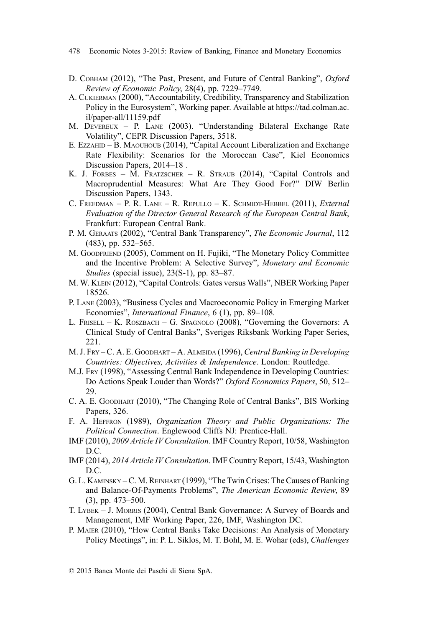- 478 Economic Notes 3-2015: Review of Banking, Finance and Monetary Economics
- D. COBHAM (2012), "The Past, Present, and Future of Central Banking", Oxford Review of Economic Policy, 28(4), pp. 7229–7749.
- A. CUKIERMAN (2000), "Accountability, Credibility, Transparency and Stabilization Policy in the Eurosystem", Working paper. Available at [https://tad.colman.ac.](https://tad.colman.ac.il/paper&x2010;all/11159.pdf) [il/paper-all/11159.pdf](https://tad.colman.ac.il/paper&x2010;all/11159.pdf)
- M. DEVEREUX P. LANE (2003). "Understanding Bilateral Exchange Rate Volatility", CEPR Discussion Papers, 3518.
- E. EZZAHID B. MAOUHOUB (2014), "Capital Account Liberalization and Exchange Rate Flexibility: Scenarios for the Moroccan Case", Kiel Economics Discussion Papers, 2014–18 .
- K. J. FORBES  $\hat{M}$ . FRATZSCHER R. STRAUB (2014), "Capital Controls and Macroprudential Measures: What Are They Good For?" DIW Berlin Discussion Papers, 1343.
- C. FREEDMAN P. R. LANE R. REPULLO K. SCHMIDT-HEBBEL  $(2011)$ , *External* Evaluation of the Director General Research of the European Central Bank, Frankfurt: European Central Bank.
- P. M. GERAATS (2002), "Central Bank Transparency", The Economic Journal, 112 (483), pp. 532–565.
- M. GOODFRIEND (2005), Comment on H. Fujiki, "The Monetary Policy Committee and the Incentive Problem: A Selective Survey", Monetary and Economic Studies (special issue), 23(S-1), pp. 83–87.
- M. W. KLEIN (2012), "Capital Controls: Gates versus Walls", NBER Working Paper 18526.
- P. LANE (2003), "Business Cycles and Macroeconomic Policy in Emerging Market Economies", International Finance, 6 (1), pp. 89–108.
- L. FRISELL K. ROSZBACH G. SPAGNOLO (2008), "Governing the Governors: A Clinical Study of Central Banks", Sveriges Riksbank Working Paper Series, 221.
- M. J. FRY C. A. E. GOODHART A. ALMEIDA (1996), Central Banking in Developing Countries: Objectives, Activities & Independence. London: Routledge.
- M.J. FRY (1998), "Assessing Central Bank Independence in Developing Countries: Do Actions Speak Louder than Words?" Oxford Economics Papers, 50, 512– 29.
- C. A. E. GOODHART (2010), "The Changing Role of Central Banks", BIS Working Papers, 326.
- F. A. HEFFRON (1989), Organization Theory and Public Organizations: The Political Connection. Englewood Cliffs NJ: Prentice-Hall.
- IMF (2010), 2009 Article IV Consultation. IMF Country Report, 10/58, Washington D.C.
- IMF (2014), 2014 Article IV Consultation. IMF Country Report, 15/43, Washington D.C.
- G. L. KAMINSKY C. M. REINHART (1999), "The Twin Crises: The Causes of Banking and Balance-Of-Payments Problems", The American Economic Review, 89 (3), pp. 473–500.
- T. LYBEK J. MORRIS (2004), Central Bank Governance: A Survey of Boards and Management, IMF Working Paper, 226, IMF, Washington DC.
- P. MAIER (2010), "How Central Banks Take Decisions: An Analysis of Monetary Policy Meetings", in: P. L. Siklos, M. T. Bohl, M. E. Wohar (eds), Challenges

<sup>© 2015</sup> Banca Monte dei Paschi di Siena SpA.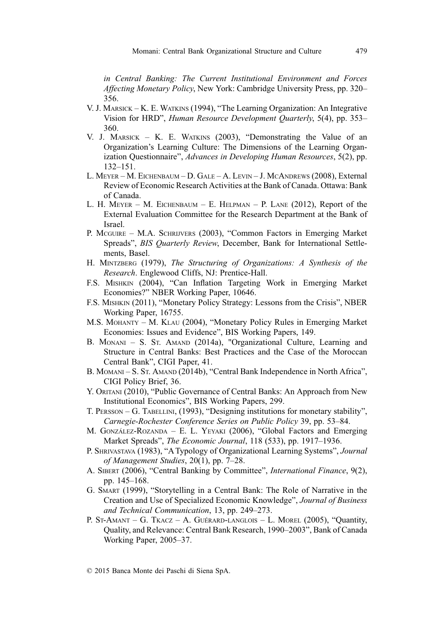in Central Banking: The Current Institutional Environment and Forces Affecting Monetary Policy, New York: Cambridge University Press, pp. 320– 356.

- V. J. MARSICK K. E. WATKINS (1994), "The Learning Organization: An Integrative Vision for HRD", Human Resource Development Quarterly, 5(4), pp. 353– 360.
- V. J. MARSICK K. E. WATKINS (2003), "Demonstrating the Value of an Organization's Learning Culture: The Dimensions of the Learning Organization Questionnaire", Advances in Developing Human Resources, 5(2), pp. 132–151.
- L. MEYER M. EICHENBAUM D. GALE A. LEVIN J. MCANDREWS (2008), External Review of Economic Research Activities at the Bank of Canada. Ottawa: Bank of Canada.
- L. H. MEYER M. EICHENBAUM E. HELPMAN P. LANE (2012), Report of the External Evaluation Committee for the Research Department at the Bank of Israel.
- P. MCGUIRE M.A. SCHRIJVERS (2003), "Common Factors in Emerging Market Spreads", BIS Quarterly Review, December, Bank for International Settlements, Basel.
- H. MINTZBERG (1979), The Structuring of Organizations: A Synthesis of the Research. Englewood Cliffs, NJ: Prentice-Hall.
- F.S. MISHKIN (2004), "Can Inflation Targeting Work in Emerging Market Economies?" NBER Working Paper, 10646.
- F.S. MISHKIN (2011), "Monetary Policy Strategy: Lessons from the Crisis", NBER Working Paper, 16755.
- M.S. MOHANTY M. KLAU (2004), "Monetary Policy Rules in Emerging Market Economies: Issues and Evidence", BIS Working Papers, 149.
- B. MONANI S. ST. AMAND (2014a), "Organizational Culture, Learning and Structure in Central Banks: Best Practices and the Case of the Moroccan Central Bank", CIGI Paper, 41.
- B. MOMANI S. ST. AMAND (2014b), "Central Bank Independence in North Africa", CIGI Policy Brief, 36.
- Y. ORITANI (2010), "Public Governance of Central Banks: An Approach from New Institutional Economics", BIS Working Papers, 299.
- T. PERSSON G. TABELLINI, (1993), "Designing institutions for monetary stability", Carnegie-Rochester Conference Series on Public Policy 39, pp. 53–84.
- M. GONZÁLEZ-ROZANDA E. L. YEYAKI (2006), "Global Factors and Emerging Market Spreads", The Economic Journal, 118 (533), pp. 1917–1936.
- P. SHRIVASTAVA (1983), "A Typology of Organizational Learning Systems", Journal of Management Studies, 20(1), pp. 7–28.
- A. SIBERT (2006), "Central Banking by Committee", International Finance, 9(2), pp. 145–168.
- G. SMART (1999), "Storytelling in a Central Bank: The Role of Narrative in the Creation and Use of Specialized Economic Knowledge", Journal of Business and Technical Communication, 13, pp. 249–273.
- P. ST-AMANT G. TKACZ A. GUÉRARD-LANGLOIS L. MOREL  $(2005)$ , "Quantity, Quality, and Relevance: Central Bank Research, 1990–2003", Bank of Canada Working Paper, 2005–37.

<sup>© 2015</sup> Banca Monte dei Paschi di Siena SpA.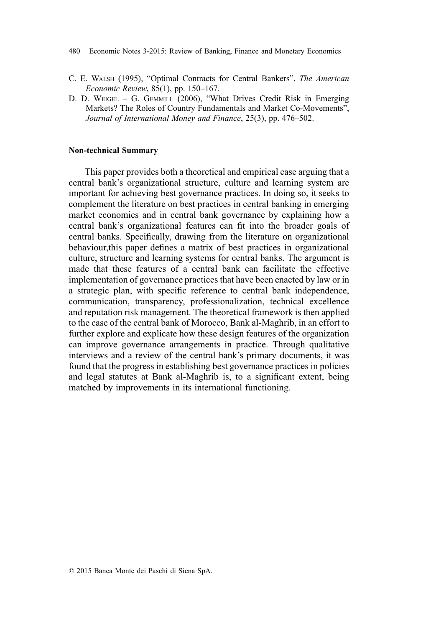- 480 Economic Notes 3-2015: Review of Banking, Finance and Monetary Economics
- C. E. WALSH (1995), "Optimal Contracts for Central Bankers", The American Economic Review, 85(1), pp. 150–167.
- D. D. WEIGEL G. GEMMILL (2006), "What Drives Credit Risk in Emerging Markets? The Roles of Country Fundamentals and Market Co-Movements", Journal of International Money and Finance, 25(3), pp. 476–502.

#### Non-technical Summary

This paper provides both a theoretical and empirical case arguing that a central bank's organizational structure, culture and learning system are important for achieving best governance practices. In doing so, it seeks to complement the literature on best practices in central banking in emerging market economies and in central bank governance by explaining how a central bank's organizational features can fit into the broader goals of central banks. Specifically, drawing from the literature on organizational behaviour,this paper defines a matrix of best practices in organizational culture, structure and learning systems for central banks. The argument is made that these features of a central bank can facilitate the effective implementation of governance practices that have been enacted by law or in a strategic plan, with specific reference to central bank independence, communication, transparency, professionalization, technical excellence and reputation risk management. The theoretical framework is then applied to the case of the central bank of Morocco, Bank al-Maghrib, in an effort to further explore and explicate how these design features of the organization can improve governance arrangements in practice. Through qualitative interviews and a review of the central bank's primary documents, it was found that the progress in establishing best governance practices in policies and legal statutes at Bank al-Maghrib is, to a significant extent, being matched by improvements in its international functioning.